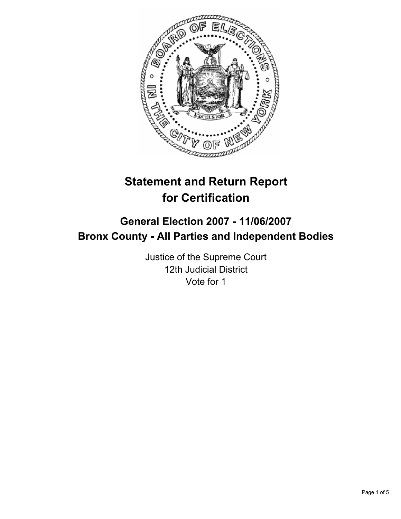

# **Statement and Return Report for Certification**

# **General Election 2007 - 11/06/2007 Bronx County - All Parties and Independent Bodies**

Justice of the Supreme Court 12th Judicial District Vote for 1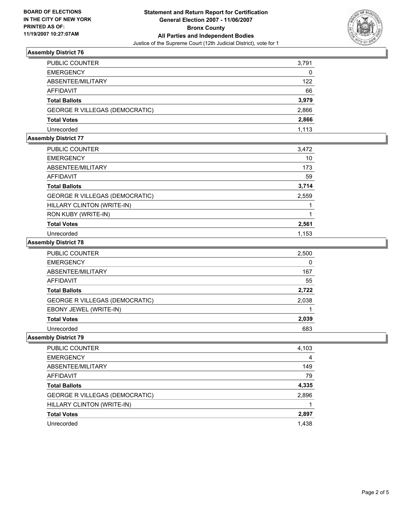

## **Assembly District 76**

| PUBLIC COUNTER                        | 3,791 |
|---------------------------------------|-------|
| <b>EMERGENCY</b>                      | 0     |
| ABSENTEE/MILITARY                     | 122   |
| <b>AFFIDAVIT</b>                      | 66    |
| <b>Total Ballots</b>                  | 3,979 |
| <b>GEORGE R VILLEGAS (DEMOCRATIC)</b> | 2,866 |
| <b>Total Votes</b>                    | 2,866 |
| Unrecorded                            | 1.113 |

## **Assembly District 77**

| PUBLIC COUNTER                 | 3,472 |
|--------------------------------|-------|
| <b>EMERGENCY</b>               | 10    |
| ABSENTEE/MILITARY              | 173   |
| AFFIDAVIT                      | 59    |
| <b>Total Ballots</b>           | 3,714 |
| GEORGE R VILLEGAS (DEMOCRATIC) | 2,559 |
| HILLARY CLINTON (WRITE-IN)     |       |
| RON KUBY (WRITE-IN)            |       |
| <b>Total Votes</b>             | 2,561 |
| Unrecorded                     | 1,153 |

#### **Assembly District 78**

| PUBLIC COUNTER                        | 2,500 |
|---------------------------------------|-------|
| <b>EMERGENCY</b>                      | 0     |
| ABSENTEE/MILITARY                     | 167   |
| <b>AFFIDAVIT</b>                      | 55    |
| <b>Total Ballots</b>                  | 2,722 |
| <b>GEORGE R VILLEGAS (DEMOCRATIC)</b> | 2,038 |
| EBONY JEWEL (WRITE-IN)                |       |
| <b>Total Votes</b>                    | 2,039 |
| Unrecorded                            | 683   |

#### **Assembly District 79**

| PUBLIC COUNTER                        | 4,103 |
|---------------------------------------|-------|
| <b>EMERGENCY</b>                      | 4     |
| ABSENTEE/MILITARY                     | 149   |
| <b>AFFIDAVIT</b>                      | 79    |
| <b>Total Ballots</b>                  | 4,335 |
| <b>GEORGE R VILLEGAS (DEMOCRATIC)</b> | 2,896 |
| HILLARY CLINTON (WRITE-IN)            |       |
| <b>Total Votes</b>                    | 2,897 |
| Unrecorded                            | 1,438 |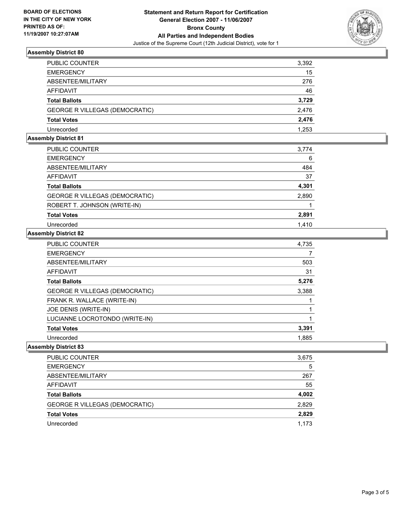

## **Assembly District 80**

| PUBLIC COUNTER                        | 3,392 |
|---------------------------------------|-------|
| <b>EMERGENCY</b>                      | 15    |
| ABSENTEE/MILITARY                     | 276   |
| AFFIDAVIT                             | 46    |
| <b>Total Ballots</b>                  | 3,729 |
| <b>GEORGE R VILLEGAS (DEMOCRATIC)</b> | 2,476 |
| <b>Total Votes</b>                    | 2,476 |
| Unrecorded                            | 1.253 |

# **Assembly District 81**

| PUBLIC COUNTER                        | 3,774 |
|---------------------------------------|-------|
| <b>EMERGENCY</b>                      | 6     |
| ABSENTEE/MILITARY                     | 484   |
| AFFIDAVIT                             | 37    |
| <b>Total Ballots</b>                  | 4,301 |
| <b>GEORGE R VILLEGAS (DEMOCRATIC)</b> | 2,890 |
| ROBERT T. JOHNSON (WRITE-IN)          |       |
| <b>Total Votes</b>                    | 2,891 |
| Unrecorded                            | 1,410 |
| .                                     |       |

#### **Assembly District 82**

| <b>PUBLIC COUNTER</b>          | 4,735 |
|--------------------------------|-------|
| <b>EMERGENCY</b>               |       |
| ABSENTEE/MILITARY              | 503   |
| AFFIDAVIT                      | 31    |
| <b>Total Ballots</b>           | 5,276 |
| GEORGE R VILLEGAS (DEMOCRATIC) | 3,388 |
| FRANK R. WALLACE (WRITE-IN)    |       |
| JOE DENIS (WRITE-IN)           |       |
| LUCIANNE LOCROTONDO (WRITE-IN) |       |
| <b>Total Votes</b>             | 3,391 |
| Unrecorded                     | 1.885 |

## **Assembly District 83**

| 3,675 |
|-------|
| 5     |
| 267   |
| 55    |
| 4,002 |
| 2,829 |
| 2,829 |
| 1,173 |
|       |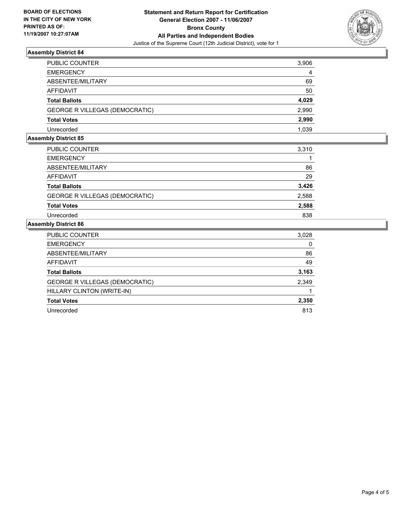

## **Assembly District 84**

| PUBLIC COUNTER                        | 3,906 |
|---------------------------------------|-------|
| <b>EMERGENCY</b>                      | 4     |
| ABSENTEE/MILITARY                     | 69    |
| AFFIDAVIT                             | 50    |
| <b>Total Ballots</b>                  | 4,029 |
| <b>GEORGE R VILLEGAS (DEMOCRATIC)</b> | 2,990 |
| <b>Total Votes</b>                    | 2,990 |
| Unrecorded                            | 1,039 |

#### **Assembly District 85**

| PUBLIC COUNTER                        | 3,310 |
|---------------------------------------|-------|
| <b>EMERGENCY</b>                      |       |
| ABSENTEE/MILITARY                     | 86    |
| AFFIDAVIT                             | 29    |
| <b>Total Ballots</b>                  | 3,426 |
| <b>GEORGE R VILLEGAS (DEMOCRATIC)</b> | 2,588 |
| <b>Total Votes</b>                    | 2,588 |
| Unrecorded                            | 838   |

# **Assembly District 86**

| PUBLIC COUNTER                        | 3,028 |
|---------------------------------------|-------|
| <b>EMERGENCY</b>                      | 0     |
| ABSENTEE/MILITARY                     | 86    |
| AFFIDAVIT                             | 49    |
| <b>Total Ballots</b>                  | 3,163 |
| <b>GEORGE R VILLEGAS (DEMOCRATIC)</b> | 2,349 |
| HILLARY CLINTON (WRITE-IN)            |       |
| <b>Total Votes</b>                    | 2,350 |
| Unrecorded                            | 813   |
|                                       |       |